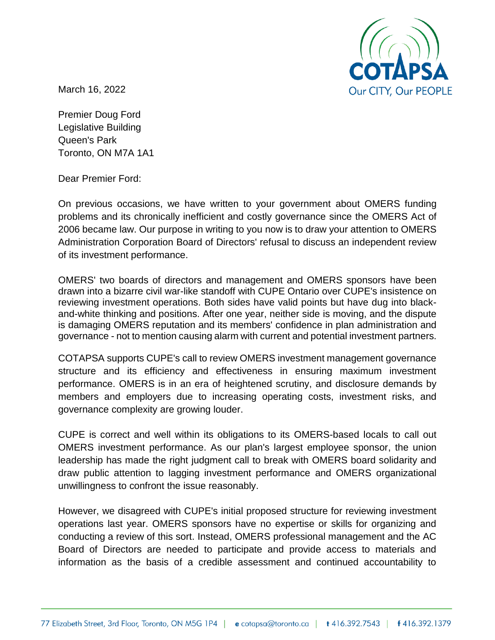

March 16, 2022

Premier Doug Ford Legislative Building Queen's Park Toronto, ON M7A 1A1

Dear Premier Ford:

On previous occasions, we have written to your government about OMERS funding problems and its chronically inefficient and costly governance since the OMERS Act of 2006 became law. Our purpose in writing to you now is to draw your attention to OMERS Administration Corporation Board of Directors' refusal to discuss an independent review of its investment performance.

OMERS' two boards of directors and management and OMERS sponsors have been drawn into a bizarre civil war-like standoff with CUPE Ontario over CUPE's insistence on reviewing investment operations. Both sides have valid points but have dug into blackand-white thinking and positions. After one year, neither side is moving, and the dispute is damaging OMERS reputation and its members' confidence in plan administration and governance - not to mention causing alarm with current and potential investment partners.

COTAPSA supports CUPE's call to review OMERS investment management governance structure and its efficiency and effectiveness in ensuring maximum investment performance. OMERS is in an era of heightened scrutiny, and disclosure demands by members and employers due to increasing operating costs, investment risks, and governance complexity are growing louder.

CUPE is correct and well within its obligations to its OMERS-based locals to call out OMERS investment performance. As our plan's largest employee sponsor, the union leadership has made the right judgment call to break with OMERS board solidarity and draw public attention to lagging investment performance and OMERS organizational unwillingness to confront the issue reasonably.

However, we disagreed with CUPE's initial proposed structure for reviewing investment operations last year. OMERS sponsors have no expertise or skills for organizing and conducting a review of this sort. Instead, OMERS professional management and the AC Board of Directors are needed to participate and provide access to materials and information as the basis of a credible assessment and continued accountability to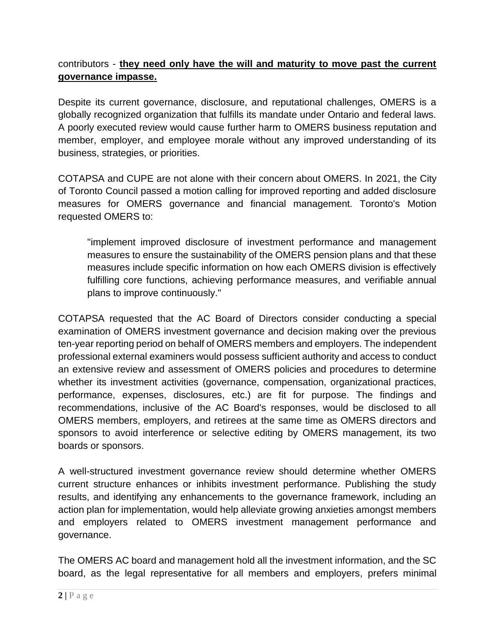## contributors - **they need only have the will and maturity to move past the current governance impasse.**

Despite its current governance, disclosure, and reputational challenges, OMERS is a globally recognized organization that fulfills its mandate under Ontario and federal laws. A poorly executed review would cause further harm to OMERS business reputation and member, employer, and employee morale without any improved understanding of its business, strategies, or priorities.

COTAPSA and CUPE are not alone with their concern about OMERS. In 2021, the City of Toronto Council passed a motion calling for improved reporting and added disclosure measures for OMERS governance and financial management. Toronto's Motion requested OMERS to:

"implement improved disclosure of investment performance and management measures to ensure the sustainability of the OMERS pension plans and that these measures include specific information on how each OMERS division is effectively fulfilling core functions, achieving performance measures, and verifiable annual plans to improve continuously."

COTAPSA requested that the AC Board of Directors consider conducting a special examination of OMERS investment governance and decision making over the previous ten-year reporting period on behalf of OMERS members and employers. The independent professional external examiners would possess sufficient authority and access to conduct an extensive review and assessment of OMERS policies and procedures to determine whether its investment activities (governance, compensation, organizational practices, performance, expenses, disclosures, etc.) are fit for purpose. The findings and recommendations, inclusive of the AC Board's responses, would be disclosed to all OMERS members, employers, and retirees at the same time as OMERS directors and sponsors to avoid interference or selective editing by OMERS management, its two boards or sponsors.

A well-structured investment governance review should determine whether OMERS current structure enhances or inhibits investment performance. Publishing the study results, and identifying any enhancements to the governance framework, including an action plan for implementation, would help alleviate growing anxieties amongst members and employers related to OMERS investment management performance and governance.

The OMERS AC board and management hold all the investment information, and the SC board, as the legal representative for all members and employers, prefers minimal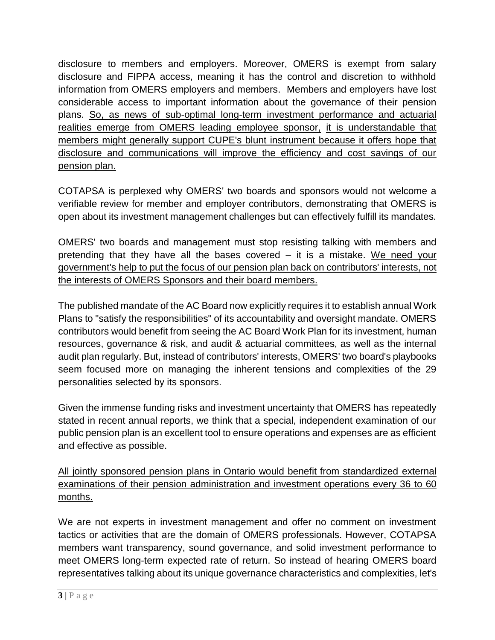disclosure to members and employers. Moreover, OMERS is exempt from salary disclosure and FIPPA access, meaning it has the control and discretion to withhold information from OMERS employers and members. Members and employers have lost considerable access to important information about the governance of their pension plans. So, as news of sub-optimal long-term investment performance and actuarial realities emerge from OMERS leading employee sponsor, it is understandable that members might generally support CUPE's blunt instrument because it offers hope that disclosure and communications will improve the efficiency and cost savings of our pension plan.

COTAPSA is perplexed why OMERS' two boards and sponsors would not welcome a verifiable review for member and employer contributors, demonstrating that OMERS is open about its investment management challenges but can effectively fulfill its mandates.

OMERS' two boards and management must stop resisting talking with members and pretending that they have all the bases covered – it is a mistake. We need your government's help to put the focus of our pension plan back on contributors' interests, not the interests of OMERS Sponsors and their board members.

The published mandate of the AC Board now explicitly requires it to establish annual Work Plans to "satisfy the responsibilities" of its accountability and oversight mandate. OMERS contributors would benefit from seeing the AC Board Work Plan for its investment, human resources, governance & risk, and audit & actuarial committees, as well as the internal audit plan regularly. But, instead of contributors' interests, OMERS' two board's playbooks seem focused more on managing the inherent tensions and complexities of the 29 personalities selected by its sponsors.

Given the immense funding risks and investment uncertainty that OMERS has repeatedly stated in recent annual reports, we think that a special, independent examination of our public pension plan is an excellent tool to ensure operations and expenses are as efficient and effective as possible.

All jointly sponsored pension plans in Ontario would benefit from standardized external examinations of their pension administration and investment operations every 36 to 60 months.

We are not experts in investment management and offer no comment on investment tactics or activities that are the domain of OMERS professionals. However, COTAPSA members want transparency, sound governance, and solid investment performance to meet OMERS long-term expected rate of return. So instead of hearing OMERS board representatives talking about its unique governance characteristics and complexities, let's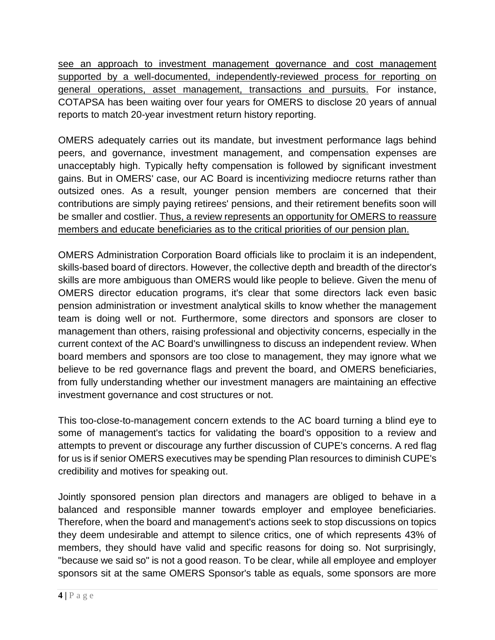see an approach to investment management governance and cost management supported by a well-documented, independently-reviewed process for reporting on general operations, asset management, transactions and pursuits. For instance, COTAPSA has been waiting over four years for OMERS to disclose 20 years of annual reports to match 20-year investment return history reporting.

OMERS adequately carries out its mandate, but investment performance lags behind peers, and governance, investment management, and compensation expenses are unacceptably high. Typically hefty compensation is followed by significant investment gains. But in OMERS' case, our AC Board is incentivizing mediocre returns rather than outsized ones. As a result, younger pension members are concerned that their contributions are simply paying retirees' pensions, and their retirement benefits soon will be smaller and costlier. Thus, a review represents an opportunity for OMERS to reassure members and educate beneficiaries as to the critical priorities of our pension plan.

OMERS Administration Corporation Board officials like to proclaim it is an independent, skills-based board of directors. However, the collective depth and breadth of the director's skills are more ambiguous than OMERS would like people to believe. Given the menu of OMERS director education programs, it's clear that some directors lack even basic pension administration or investment analytical skills to know whether the management team is doing well or not. Furthermore, some directors and sponsors are closer to management than others, raising professional and objectivity concerns, especially in the current context of the AC Board's unwillingness to discuss an independent review. When board members and sponsors are too close to management, they may ignore what we believe to be red governance flags and prevent the board, and OMERS beneficiaries, from fully understanding whether our investment managers are maintaining an effective investment governance and cost structures or not.

This too-close-to-management concern extends to the AC board turning a blind eye to some of management's tactics for validating the board's opposition to a review and attempts to prevent or discourage any further discussion of CUPE's concerns. A red flag for us is if senior OMERS executives may be spending Plan resources to diminish CUPE's credibility and motives for speaking out.

Jointly sponsored pension plan directors and managers are obliged to behave in a balanced and responsible manner towards employer and employee beneficiaries. Therefore, when the board and management's actions seek to stop discussions on topics they deem undesirable and attempt to silence critics, one of which represents 43% of members, they should have valid and specific reasons for doing so. Not surprisingly, "because we said so" is not a good reason. To be clear, while all employee and employer sponsors sit at the same OMERS Sponsor's table as equals, some sponsors are more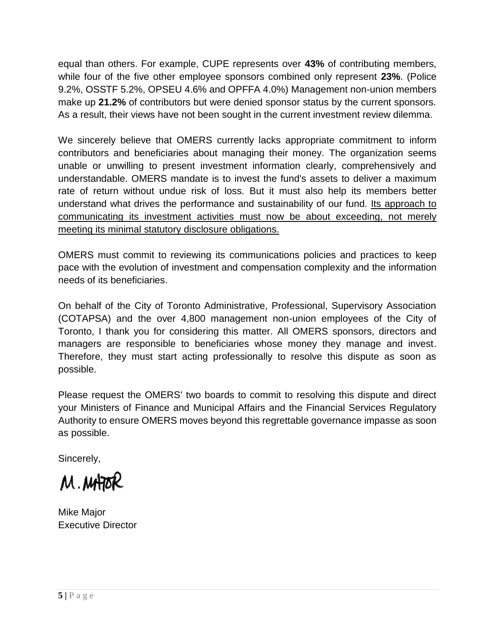equal than others. For example, CUPE represents over **43%** of contributing members, while four of the five other employee sponsors combined only represent **23%**. (Police 9.2%, OSSTF 5.2%, OPSEU 4.6% and OPFFA 4.0%) Management non-union members make up **21.2%** of contributors but were denied sponsor status by the current sponsors. As a result, their views have not been sought in the current investment review dilemma.

We sincerely believe that OMERS currently lacks appropriate commitment to inform contributors and beneficiaries about managing their money. The organization seems unable or unwilling to present investment information clearly, comprehensively and understandable. OMERS mandate is to invest the fund's assets to deliver a maximum rate of return without undue risk of loss. But it must also help its members better understand what drives the performance and sustainability of our fund. Its approach to communicating its investment activities must now be about exceeding, not merely meeting its minimal statutory disclosure obligations.

OMERS must commit to reviewing its communications policies and practices to keep pace with the evolution of investment and compensation complexity and the information needs of its beneficiaries.

On behalf of the City of Toronto Administrative, Professional, Supervisory Association (COTAPSA) and the over 4,800 management non-union employees of the City of Toronto, I thank you for considering this matter. All OMERS sponsors, directors and managers are responsible to beneficiaries whose money they manage and invest. Therefore, they must start acting professionally to resolve this dispute as soon as possible.

Please request the OMERS' two boards to commit to resolving this dispute and direct your Ministers of Finance and Municipal Affairs and the Financial Services Regulatory Authority to ensure OMERS moves beyond this regrettable governance impasse as soon as possible.

Sincerely,

M.MHOR

Mike Major Executive Director